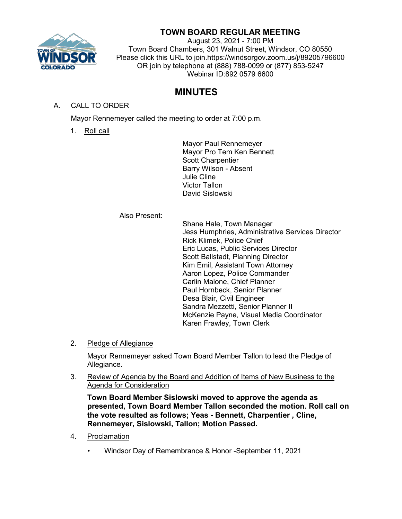

# **TOWN BOARD REGULAR MEETING**

August 23, 2021 - 7:00 PM Town Board Chambers, 301 Walnut Street, Windsor, CO 80550 Please click this URL to join.https://windsorgov.zoom.us/j/89205796600 OR join by telephone at (888) 788-0099 or (877) 853-5247 Webinar ID:892 0579 6600

# **MINUTES**

## A. CALL TO ORDER

Mayor Rennemeyer called the meeting to order at 7:00 p.m.

1. Roll call

Mayor Paul Rennemeyer Mayor Pro Tem Ken Bennett Scott Charpentier Barry Wilson - Absent Julie Cline Victor Tallon David Sislowski

Also Present:

Shane Hale, Town Manager Jess Humphries, Administrative Services Director Rick Klimek, Police Chief Eric Lucas, Public Services Director Scott Ballstadt, Planning Director Kim Emil, Assistant Town Attorney Aaron Lopez, Police Commander Carlin Malone, Chief Planner Paul Hornbeck, Senior Planner Desa Blair, Civil Engineer Sandra Mezzetti, Senior Planner II McKenzie Payne, Visual Media Coordinator Karen Frawley, Town Clerk

2. Pledge of Allegiance

Mayor Rennemeyer asked Town Board Member Tallon to lead the Pledge of Allegiance.

3. Review of Agenda by the Board and Addition of Items of New Business to the Agenda for Consideration

**Town Board Member Sislowski moved to approve the agenda as presented, Town Board Member Tallon seconded the motion. Roll call on the vote resulted as follows; Yeas - Bennett, Charpentier , Cline, Rennemeyer, Sislowski, Tallon; Motion Passed.**

- 4. Proclamation
	- Windsor Day of Remembrance & Honor -September 11, 2021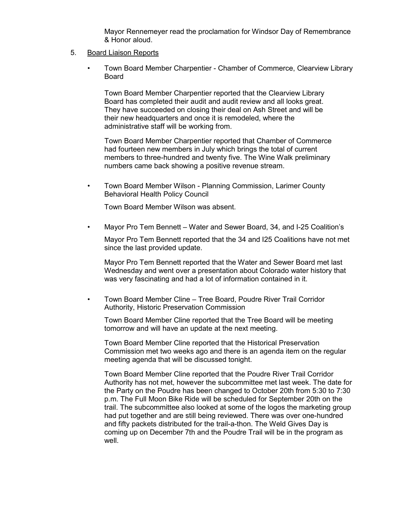Mayor Rennemeyer read the proclamation for Windsor Day of Remembrance & Honor aloud.

#### 5. Board Liaison Reports

• Town Board Member Charpentier - Chamber of Commerce, Clearview Library Board

Town Board Member Charpentier reported that the Clearview Library Board has completed their audit and audit review and all looks great. They have succeeded on closing their deal on Ash Street and will be their new headquarters and once it is remodeled, where the administrative staff will be working from.

Town Board Member Charpentier reported that Chamber of Commerce had fourteen new members in July which brings the total of current members to three-hundred and twenty five. The Wine Walk preliminary numbers came back showing a positive revenue stream.

• Town Board Member Wilson - Planning Commission, Larimer County Behavioral Health Policy Council

Town Board Member Wilson was absent.

• Mayor Pro Tem Bennett – Water and Sewer Board, 34, and I-25 Coalition's

Mayor Pro Tem Bennett reported that the 34 and I25 Coalitions have not met since the last provided update.

Mayor Pro Tem Bennett reported that the Water and Sewer Board met last Wednesday and went over a presentation about Colorado water history that was very fascinating and had a lot of information contained in it.

• Town Board Member Cline – Tree Board, Poudre River Trail Corridor Authority, Historic Preservation Commission

Town Board Member Cline reported that the Tree Board will be meeting tomorrow and will have an update at the next meeting.

Town Board Member Cline reported that the Historical Preservation Commission met two weeks ago and there is an agenda item on the regular meeting agenda that will be discussed tonight.

Town Board Member Cline reported that the Poudre River Trail Corridor Authority has not met, however the subcommittee met last week. The date for the Party on the Poudre has been changed to October 20th from 5:30 to 7:30 p.m. The Full Moon Bike Ride will be scheduled for September 20th on the trail. The subcommittee also looked at some of the logos the marketing group had put together and are still being reviewed. There was over one-hundred and fifty packets distributed for the trail-a-thon. The Weld Gives Day is coming up on December 7th and the Poudre Trail will be in the program as well.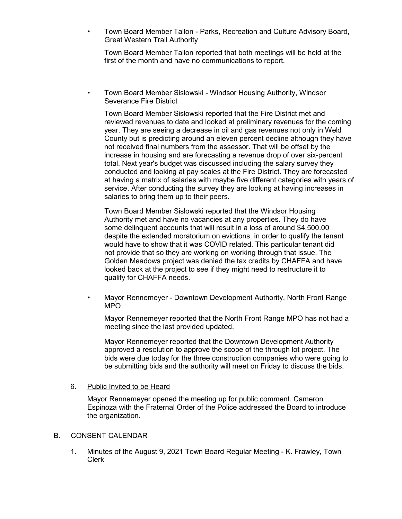• Town Board Member Tallon - Parks, Recreation and Culture Advisory Board, Great Western Trail Authority

Town Board Member Tallon reported that both meetings will be held at the first of the month and have no communications to report.

• Town Board Member Sislowski - Windsor Housing Authority, Windsor Severance Fire District

Town Board Member Sislowski reported that the Fire District met and reviewed revenues to date and looked at preliminary revenues for the coming year. They are seeing a decrease in oil and gas revenues not only in Weld County but is predicting around an eleven percent decline although they have not received final numbers from the assessor. That will be offset by the increase in housing and are forecasting a revenue drop of over six-percent total. Next year's budget was discussed including the salary survey they conducted and looking at pay scales at the Fire District. They are forecasted at having a matrix of salaries with maybe five different categories with years of service. After conducting the survey they are looking at having increases in salaries to bring them up to their peers.

Town Board Member Sislowski reported that the Windsor Housing Authority met and have no vacancies at any properties. They do have some delinquent accounts that will result in a loss of around \$4,500.00 despite the extended moratorium on evictions, in order to qualify the tenant would have to show that it was COVID related. This particular tenant did not provide that so they are working on working through that issue. The Golden Meadows project was denied the tax credits by CHAFFA and have looked back at the project to see if they might need to restructure it to qualify for CHAFFA needs.

• Mayor Rennemeyer - Downtown Development Authority, North Front Range MPO

Mayor Rennemeyer reported that the North Front Range MPO has not had a meeting since the last provided updated.

Mayor Rennemeyer reported that the Downtown Development Authority approved a resolution to approve the scope of the through lot project. The bids were due today for the three construction companies who were going to be submitting bids and the authority will meet on Friday to discuss the bids.

6. Public Invited to be Heard

Mayor Rennemeyer opened the meeting up for public comment. Cameron Espinoza with the Fraternal Order of the Police addressed the Board to introduce the organization.

#### B. CONSENT CALENDAR

1. Minutes of the August 9, 2021 Town Board Regular Meeting - K. Frawley, Town Clerk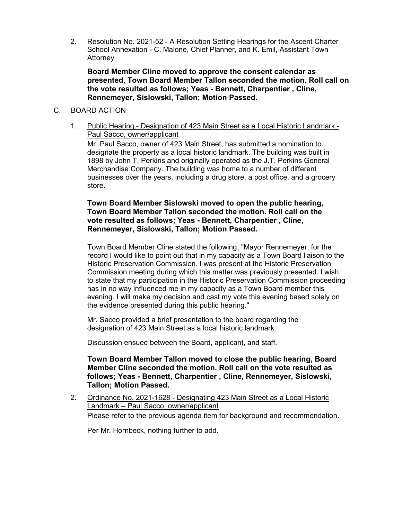2. Resolution No. 2021-52 - A Resolution Setting Hearings for the Ascent Charter School Annexation - C. Malone, Chief Planner, and K. Emil, Assistant Town **Attorney** 

**Board Member Cline moved to approve the consent calendar as presented, Town Board Member Tallon seconded the motion. Roll call on the vote resulted as follows; Yeas - Bennett, Charpentier , Cline, Rennemeyer, Sislowski, Tallon; Motion Passed.**

### C. BOARD ACTION

1. Public Hearing - Designation of 423 Main Street as a Local Historic Landmark - Paul Sacco, owner/applicant

Mr. Paul Sacco, owner of 423 Main Street, has submitted a nomination to designate the property as a local historic landmark. The building was built in 1898 by John T. Perkins and originally operated as the J.T. Perkins General Merchandise Company. The building was home to a number of different businesses over the years, including a drug store, a post office, and a grocery store.

## **Town Board Member Sislowski moved to open the public hearing, Town Board Member Tallon seconded the motion. Roll call on the vote resulted as follows; Yeas - Bennett, Charpentier , Cline, Rennemeyer, Sislowski, Tallon; Motion Passed.**

Town Board Member Cline stated the following, "Mayor Rennemeyer, for the record I would like to point out that in my capacity as a Town Board liaison to the Historic Preservation Commission. I was present at the Historic Preservation Commission meeting during which this matter was previously presented. I wish to state that my participation in the Historic Preservation Commission proceeding has in no way influenced me in my capacity as a Town Board member this evening. I will make my decision and cast my vote this evening based solely on the evidence presented during this public hearing."

Mr. Sacco provided a brief presentation to the board regarding the designation of 423 Main Street as a local historic landmark.

Discussion ensued between the Board, applicant, and staff.

**Town Board Member Tallon moved to close the public hearing, Board Member Cline seconded the motion. Roll call on the vote resulted as follows; Yeas - Bennett, Charpentier , Cline, Rennemeyer, Sislowski, Tallon; Motion Passed.**

2. Ordinance No. 2021-1628 - Designating 423 Main Street as a Local Historic Landmark – Paul Sacco, owner/applicant

Please refer to the previous agenda item for background and recommendation.

Per Mr. Hornbeck, nothing further to add.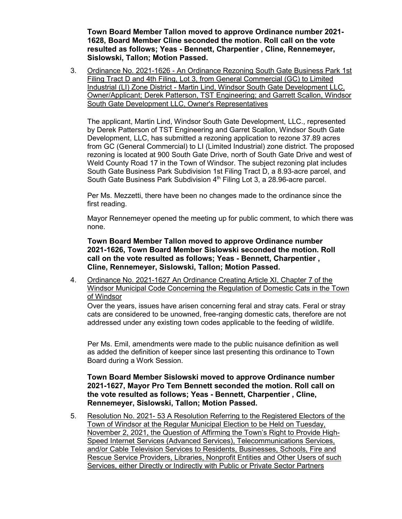**Town Board Member Tallon moved to approve Ordinance number 2021- 1628, Board Member Cline seconded the motion. Roll call on the vote resulted as follows; Yeas - Bennett, Charpentier , Cline, Rennemeyer, Sislowski, Tallon; Motion Passed.**

3. Ordinance No. 2021-1626 - An Ordinance Rezoning South Gate Business Park 1st Filing Tract D and 4th Filing, Lot 3, from General Commercial (GC) to Limited Industrial (LI) Zone District - Martin Lind, Windsor South Gate Development LLC, Owner/Applicant; Derek Patterson, TST Engineering; and Garrett Scallon, Windsor South Gate Development LLC, Owner's Representatives

The applicant, Martin Lind, Windsor South Gate Development, LLC., represented by Derek Patterson of TST Engineering and Garret Scallon, Windsor South Gate Development, LLC, has submitted a rezoning application to rezone 37.89 acres from GC (General Commercial) to LI (Limited Industrial) zone district. The proposed rezoning is located at 900 South Gate Drive, north of South Gate Drive and west of Weld County Road 17 in the Town of Windsor. The subject rezoning plat includes South Gate Business Park Subdivision 1st Filing Tract D, a 8.93-acre parcel, and South Gate Business Park Subdivision 4<sup>th</sup> Filing Lot 3, a 28.96-acre parcel.

Per Ms. Mezzetti, there have been no changes made to the ordinance since the first reading.

Mayor Rennemeyer opened the meeting up for public comment, to which there was none.

**Town Board Member Tallon moved to approve Ordinance number 2021-1626, Town Board Member Sislowski seconded the motion. Roll call on the vote resulted as follows; Yeas - Bennett, Charpentier , Cline, Rennemeyer, Sislowski, Tallon; Motion Passed.**

4. Ordinance No. 2021-1627 An Ordinance Creating Article XI, Chapter 7 of the Windsor Municipal Code Concerning the Regulation of Domestic Cats in the Town of Windsor

Over the years, issues have arisen concerning feral and stray cats. Feral or stray cats are considered to be unowned, free-ranging domestic cats, therefore are not addressed under any existing town codes applicable to the feeding of wildlife.

Per Ms. Emil, amendments were made to the public nuisance definition as well as added the definition of keeper since last presenting this ordinance to Town Board during a Work Session.

## **Town Board Member Sislowski moved to approve Ordinance number 2021-1627, Mayor Pro Tem Bennett seconded the motion. Roll call on the vote resulted as follows; Yeas - Bennett, Charpentier , Cline, Rennemeyer, Sislowski, Tallon; Motion Passed.**

5. Resolution No. 2021- 53 A Resolution Referring to the Registered Electors of the Town of Windsor at the Regular Municipal Election to be Held on Tuesday, November 2, 2021, the Question of Affirming the Town's Right to Provide High-Speed Internet Services (Advanced Services), Telecommunications Services, and/or Cable Television Services to Residents, Businesses, Schools, Fire and Rescue Service Providers, Libraries, Nonprofit Entities and Other Users of such Services, either Directly or Indirectly with Public or Private Sector Partners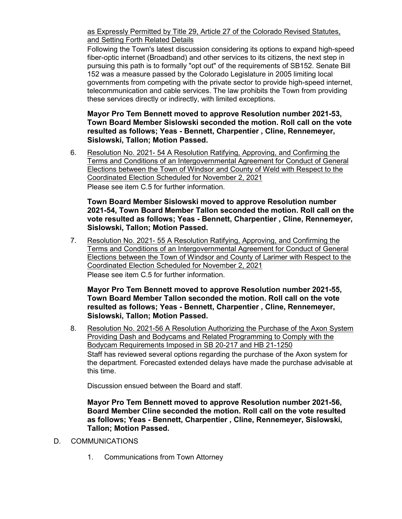as Expressly Permitted by Title 29, Article 27 of the Colorado Revised Statutes, and Setting Forth Related Details

Following the Town's latest discussion considering its options to expand high-speed fiber-optic internet (Broadband) and other services to its citizens, the next step in pursuing this path is to formally "opt out" of the requirements of SB152. Senate Bill 152 was a measure passed by the Colorado Legislature in 2005 limiting local governments from competing with the private sector to provide high-speed internet, telecommunication and cable services. The law prohibits the Town from providing these services directly or indirectly, with limited exceptions.

**Mayor Pro Tem Bennett moved to approve Resolution number 2021-53, Town Board Member Sislowski seconded the motion. Roll call on the vote resulted as follows; Yeas - Bennett, Charpentier , Cline, Rennemeyer, Sislowski, Tallon; Motion Passed.**

6. Resolution No. 2021- 54 A Resolution Ratifying, Approving, and Confirming the Terms and Conditions of an Intergovernmental Agreement for Conduct of General Elections between the Town of Windsor and County of Weld with Respect to the Coordinated Election Scheduled for November 2, 2021

Please see item C.5 for further information.

**Town Board Member Sislowski moved to approve Resolution number 2021-54, Town Board Member Tallon seconded the motion. Roll call on the vote resulted as follows; Yeas - Bennett, Charpentier , Cline, Rennemeyer, Sislowski, Tallon; Motion Passed.**

7. Resolution No. 2021- 55 A Resolution Ratifying, Approving, and Confirming the Terms and Conditions of an Intergovernmental Agreement for Conduct of General Elections between the Town of Windsor and County of Larimer with Respect to the Coordinated Election Scheduled for November 2, 2021 Please see item C.5 for further information.

**Mayor Pro Tem Bennett moved to approve Resolution number 2021-55, Town Board Member Tallon seconded the motion. Roll call on the vote resulted as follows; Yeas - Bennett, Charpentier , Cline, Rennemeyer, Sislowski, Tallon; Motion Passed.**

8. Resolution No. 2021-56 A Resolution Authorizing the Purchase of the Axon System Providing Dash and Bodycams and Related Programming to Comply with the Bodycam Requirements Imposed in SB 20-217 and HB 21-1250 Staff has reviewed several options regarding the purchase of the Axon system for the department. Forecasted extended delays have made the purchase advisable at this time.

Discussion ensued between the Board and staff.

**Mayor Pro Tem Bennett moved to approve Resolution number 2021-56, Board Member Cline seconded the motion. Roll call on the vote resulted as follows; Yeas - Bennett, Charpentier , Cline, Rennemeyer, Sislowski, Tallon; Motion Passed.**

- D. COMMUNICATIONS
	- 1. Communications from Town Attorney